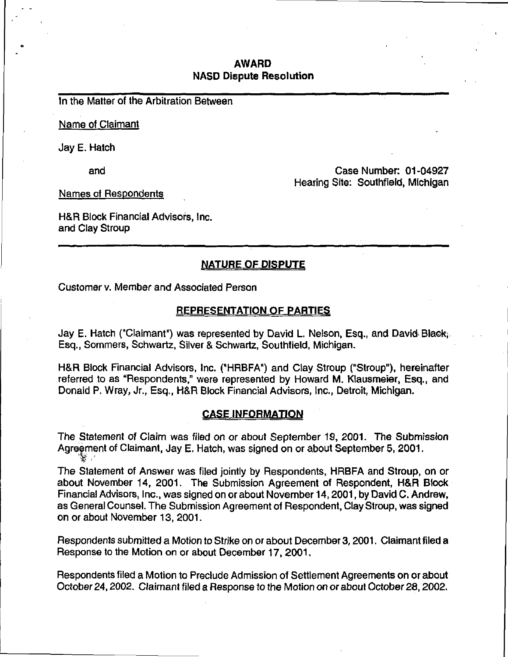## AWARD NASD Dispute Resolution

In the Matter of the Arbitration Between

Name of Claimant

Jay E. Hatch

and

Case Number: 01-04927 Hearing Site: Southfield, Michigan

Names of Respondents

H&R Block Financial Advisors, Inc. and Clay Stroup

# NATURE OF DISPUTE

Customer v. Member and Associated Person

#### REPRESENTATION OF PARTIES

Jay E. Hatch ("Claimant") was represented by David L. Nelson, Esq., and David Blaek; Esq., Sommers, Schwartz, Silver & Schwartz, Southfield, Michigan.

H&R Block Financial Advisors, Inc. ("HRBFA") and Clay Stroup ("Stroup"), hereinafter referred to as "Respondents," were represented by Howard M. Klausmeier, Esq., and Donald P. Wray, Jr., Esq., H&R Block Financial Advisors, Inc., Detroit, Michigan.

#### CASE INFORMATION

The Statement of Claim was filed on or about September 19, 2001. The Submission Agreement of Claimant, Jay E. Hatch, was signed on or about September 5, 2001.  $\mathcal{L} \rightarrow \mathcal{L}$ 

The Statement of Answer was filed jointly by Respondents, HRBFA and Stroup, on or about November 14, 2001. The Submission Agreement of Respondent, H&R Block Financial Advisors, Inc., was signed on or about November 14,2001, by David C. Andrew, as General Counsel. The Submission Agreement of Respondent, Clay Stroup, was signed on or about November 13, 2001.

Respondents submitted a Motion to Strike on or about December 3,2001. Claimant filed a Response to the Motion on or about December 17, 2001.

Respondents filed a Motion to Preclude Admission of Settlement Agreements on or about October 24,2002. Claimant filed a Response to the Motion on or about October 28,2002.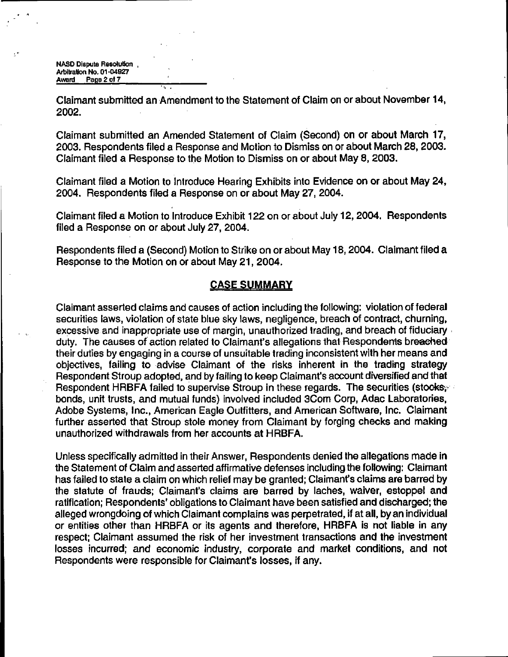NASD Dispute Resolution. Arbitration No. 01-04927 Award Page 2 of 7

Claimant submitted an Amendment to the Statement of Claim on or about November 14, 2002.

Claimant submitted an Amended Statement of Claim (Second) on or about March 17, 2003. Respondents filed a Response and Motion to Dismiss on or about March 28,2003. Claimant filed a Response to the Motion to Dismiss on or about May 8, 2003.

Claimant filed a Motion to Introduce Hearing Exhibits into Evidence on or about May 24, 2004. Respondents filed a Response on or about May 27, 2004.

Claimant filed a Motion to Introduce Exhibit 122 on or about July 12,2004. Respondents filed a Response on or about July 27, 2004.

Respondents filed a (Second) Motion to Strike on or about May 18,2004. Claimant filed a Response to the Motion on or about May 21, 2004.

### CASE SUMMARY

Claimant asserted claims and causes of action including the following: violation of federal securities laws, violation of state blue sky laws, negligence, breach of contract, churning, excessive and inappropriate use of margin, unauthorized trading, and breach of fiduciary. duty. The causes of action related to Claimant's allegations that Respondents breached their duties by engaging in a course of unsuitable trading inconsistent with her means and objectives, failing to advise Claimant of the risks inherent in the trading strategy Respondent Stroup adopted, and by failing to keep Claimant's account diversified and that Respondent HRBFA failed to supervise Stroup in these regards. The securities (stocks; bonds, unit trusts, and mutual funds) involved included 3Com Corp, Adac Laboratories, Adobe Systems, Inc., American Eagle Outfitters, and American Software, Inc. Claimant further asserted that Stroup stole money from Claimant by forging checks and making unauthorized withdrawals from her accounts at HRBFA.

Unless specifically admitted in their Answer, Respondents denied the allegations made in the Statement of Claim and asserted affirmative defenses including the following; Claimant has failed to state a claim on which relief may be granted; Claimant's claims are barred by the statute of frauds; Claimant's claims are barred by laches, waiver, estoppel and ratification; Respondents' obligations to Claimant have been satisfied and discharged; the alleged wrongdoing of which Claimant complains was perpetrated, if at all, by an individual or entities other than HRBFA or its agents and therefore, HRBFA is not liable in any respect; Claimant assumed the risk of her investment transactions and the investment losses incurred; and economic industry, corporate and market conditions, and not Respondents were responsible for Claimant's losses, if any.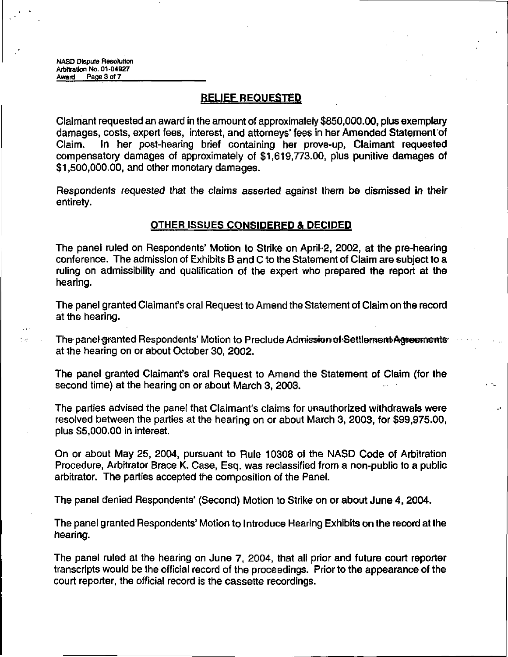## RELIEF REQUESTED

Claimant requested an award in the amount of approximately \$850,000.00, plus exemplary damages, costs, expert fees, interest, and attorneys' fees in her Amended Statement of Claim. In her post-hearing brief containing her prove-up, Claimant requested compensatory damages of approximately of \$1,619,773.00, plus punitive damages of \$1,500,000.00, and other monetary damages.

Respondents requested that the claims asserted against them be dismissed in their entirety.

#### OTHER ISSUES CONSIDERED & DECIDED

The panel ruled on Respondents' Motion to Strike on April-2, 2002, at the pre-hearing conference. The admission of Exhibits B and C to the Statement of Claim are subject to a ruling on admissibility and qualification of the expert who prepared the report at the hearing.

The panel granted Claimant's oral Request to Amend the Statement of Claim on the record at the hearing.

The panel-granted Respondents' Motion to Preclude Admission of Settlement Agreements' at the hearing on or about October 30, 2002.

The panel granted Claimant's oral Request to Amend the Statement of Claim (for the second time) at the hearing on or about March 3, 2003.

The parties advised the panel that Claimant's claims for unauthorized withdrawals were resolved between the parties at the hearing on or about March 3, 2003, for \$99,975.00, plus \$5,000.00 in interest.

On or about May 25, 2004, pursuant to Rule 10308 of the NASD Code of Arbitration Procedure, Arbitrator Brace K. Case, Esq. was reclassified from a non-public to a public arbitrator. The parties accepted the composition of the Panel.

The panel denied Respondents' (Second) Motion to Strike on or about June 4, 2004.

The panel granted Respondents' Motion to Introduce Hearing Exhibits on the record at the hearing.

The panel ruled at the hearing on June 7, 2004, that all prior and future court reporter transcripts would be the official record of the proceedings. Prior to the appearance of the court reporter, the official record is the cassette recordings.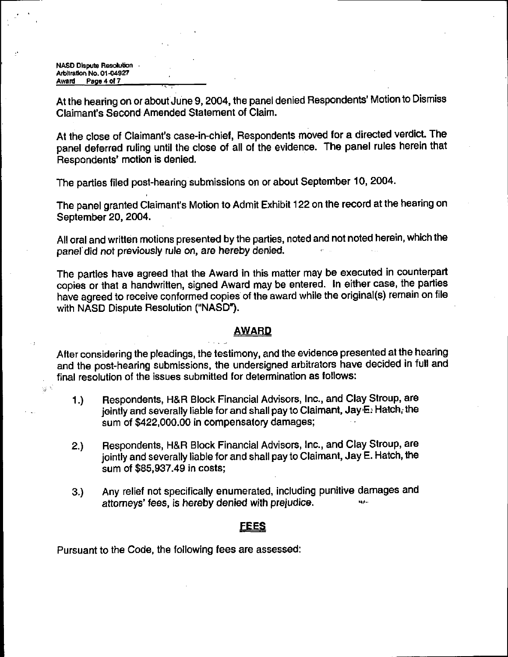NASD Dispute Resolution Arbitration No. 01-04927 Award Page 4 of 7

 $\mathbb{S}^{\left[\frac{1}{2}\right]}$ 

At the hearing on or about June 9,2004, the panel denied Respondents' Motion to Dismiss Claimant's Second Amended Statement of Claim.

At the close of Claimant's case-in-chief, Respondents moved for a directed verdict. The panel deferred ruling until the close of all of the evidence. The panel rules herein that Respondents' motion is denied.

The parties filed post-hearing submissions on or about September 10, 2004.

The panel granted Claimant's Motion to Admit Exhibit 122 on the record at the hearing on September 20, 2004.

All oral and written motions presented by the parties, noted and not noted herein, which the panel did not previously rule on, are hereby denied.

The parties have agreed that the Award in this matter may be executed in counterpart copies or that a handwritten, signed Award may be entered. In either case, the parties have agreed to receive conformed copies of the award while the original(s) remain on file with NASD Dispute Resolution ("NASD").

#### AWARD

After considering the pleadings, the testimony, and the evidence presented at the hearing and the post-hearing submissions, the undersigned arbitrators have decided in full and final resolution of the issues submitted for determination as follows:

- 1.) Respondents, H&R Block Financial Advisors, Inc., and Clay Stroup, are jointly and severally liable for and shall pay to Claimant, Jay E: Hatch, the sum of \$422,000.00 in compensatory damages;
- 2.) Respondents, H&R Block Financial Advisors, Inc., and Clay Stroup, are jointly and severally liable for and shall pay to Claimant, Jay E. Hatch, the sum of \$85,937.49 in costs;
- 3.) Any relief not specifically enumerated, including punitive damages and attorneys' fees, is hereby denied with prejudice.

#### <u>EEES</u>

Pursuant to the Code, the following fees are assessed: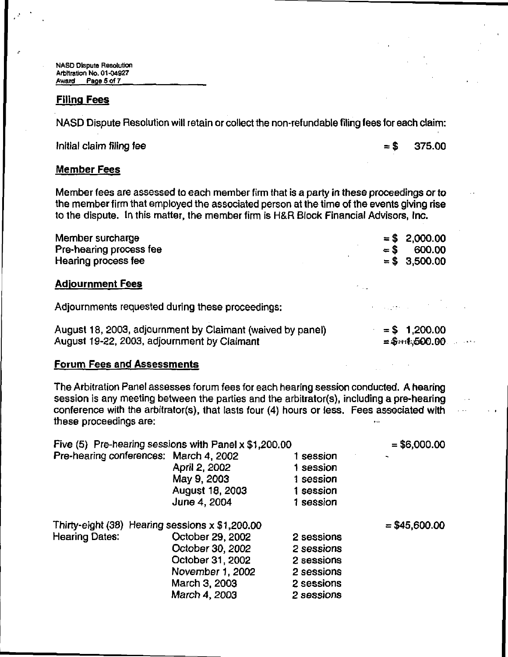NASD Dispute Resolution Arbitration No. 01-04927 Award Page 5 of 7

### Filing Fees

NASD Dispute Resolution will retain or collect the non-refundable filing fees for each claim:

Initial claim filing fee  $= $$  375.00

# Member Fees

Member fees are assessed to each member firm that is a party in these proceedings or to the member firm that employed the associated person at the time of the events giving rise to the dispute. In this matter, the member firm is H&R Block Financial Advisors, Inc.

| Member surcharge        |       | $=$ \$ 2,000.00 |
|-------------------------|-------|-----------------|
| Pre-hearing process fee | $=$ S | 600.00          |
| Hearing process fee     |       | $= $3,500.00$   |

### **Adjournment Fees**

Adjournments requested during these proceedings:

| August 18, 2003, adjournment by Claimant (waived by panel) | $=$ |
|------------------------------------------------------------|-----|
| August 19-22, 2003, adjournment by Claimant                | ź.  |

 $$1, 200.00$  $8-1,500.00$ .

#### Forum Fees and Assessments

The Arbitration Panel assesses forum fees for each hearing session conducted. A hearing session is any meeting between the parties and the arbitrator(s), including a pre-hearing conference with the arbitrator(s), that lasts four (4) hours or less. Fees associated with these proceedings are:

| Five (5) Pre-hearing sessions with Panel x \$1,200.00 |                  |            | $= $6,000.00$  |
|-------------------------------------------------------|------------------|------------|----------------|
| Pre-hearing conferences: March 4, 2002                |                  | 1 session  |                |
|                                                       | April 2, 2002    | 1 session  |                |
|                                                       | May 9, 2003      | 1 session  |                |
|                                                       | August 18, 2003  | 1 session  |                |
|                                                       | June 4, 2004     | 1 session  |                |
| Thirty-eight $(38)$ Hearing sessions x \$1,200.00     |                  |            | $= $45,600.00$ |
| <b>Hearing Dates:</b>                                 | October 29, 2002 | 2 sessions |                |
|                                                       | October 30, 2002 | 2 sessions |                |
|                                                       | October 31, 2002 | 2 sessions |                |
|                                                       | November 1, 2002 | 2 sessions |                |
|                                                       | March 3, 2003    | 2 sessions |                |
|                                                       | March 4, 2003    | 2 sessions |                |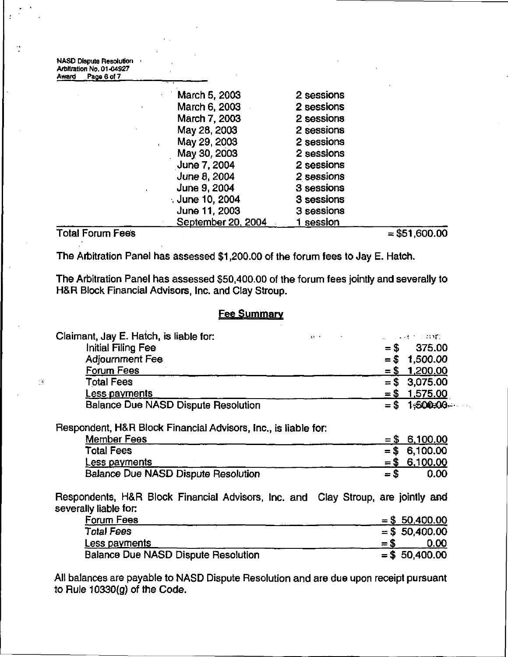| <b>NASD Dispute Resolution</b><br>Arbitration No. 01-04927 |                    |            |
|------------------------------------------------------------|--------------------|------------|
| Page 6 of 7<br>Award                                       |                    |            |
|                                                            | March 5, 2003      | 2 sessions |
|                                                            | March 6, 2003      | 2 sessions |
|                                                            | March 7, 2003      | 2 sessions |
|                                                            | May 28, 2003       | 2 sessions |
|                                                            | May 29, 2003       | 2 sessions |
|                                                            | May 30, 2003       | 2 sessions |
|                                                            | June 7, 2004       | 2 sessions |
|                                                            | June 8, 2004       | 2 sessions |
|                                                            | June 9, 2004       | 3 sessions |
|                                                            | ,June 10, 2004     | 3 sessions |
|                                                            | June 11, 2003      | 3 sessions |
|                                                            | September 20, 2004 | 1 session  |

Total Forum Fees  $= $51,600.00$ 

 $\mathcal{C}_{\mathcal{A}}$ 

The Arbitration Panel has assessed \$1,200.00 of the forum fees to Jay E. Hatch.

The Arbitration Panel has assessed \$50,400.00 of the forum fees jointly and severally to H&R Block Financial Advisors, Inc. and Clay Stroup.

#### **Fee Summary**

| Claimant, Jay E. Hatch, is liable for:                         | $45 - 4$ |        | 2010年4月11日 11月1 |
|----------------------------------------------------------------|----------|--------|-----------------|
| Initial Filing Fee                                             |          |        | $=$ \$ 375.00   |
| <b>Adjournment Fee</b>                                         |          | $=$ \$ | 1,500.00        |
| Forum Fees                                                     |          | $= 5$  | 1,200.00        |
| <b>Total Fees</b>                                              |          | $=$ S  | 3,075.00        |
| <u>Less payments</u>                                           |          |        | $=$ \$ 1,575.00 |
| <b>Balance Due NASD Dispute Resolution</b>                     |          | $=$ \$ | 1-500-00-       |
| Respondent, H&R Block Financial Advisors, Inc., is liable for: |          |        |                 |
| <b>Member Fees</b>                                             |          |        | $=$ \$ 6,100.00 |
| <b>Total Fees</b>                                              |          | $= $$  | 6,100.00        |
| Less payments                                                  |          |        | $=$ \$ 6.100.00 |
| <b>Balance Due NASD Dispute Resolution</b>                     |          | $= 5$  | 0.00            |

Respondents, H&R Block Financial Advisors, Inc. and Clay Stroup, are jointly and severally liable for:

| Forum Fees                                 |       | $=$ \$ 50,400.00 |
|--------------------------------------------|-------|------------------|
| <b>Total Fees</b>                          |       | $=$ \$ 50,400.00 |
| Less payments                              | $= 5$ | 0.00             |
| <b>Balance Due NASD Dispute Resolution</b> |       | $=$ \$ 50,400.00 |

All balances are payable to NASD Dispute Resolution and are due upon receipt pursuant to Rule 10330(g) of the Code.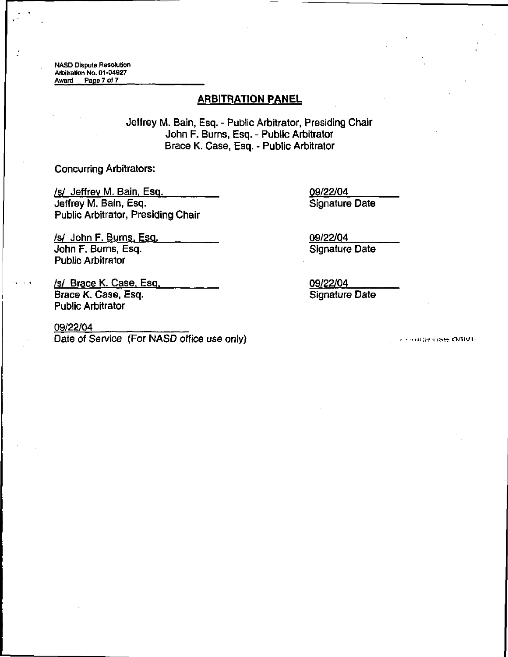NASD Dispute Resolution Arbitration No. 01-04927<br>Award Page 7 of 7 Page 7 of 7

## ARBITRATION PANEL

Jeffrey M. Bain, Esq. - Public Arbitrator, Presiding Chair John F. Burns, Esq. - Public Arbitrator Brace K. Case, Esq. - Public Arbitrator

Concurring Arbitrators:

vertical values of the USA of the USA of the USA of the USA of the USA of the USA of the USA of the USA of the U<br>
1991 Jeffrey M. Bain, Esq. (1991) Signature Date Jeffrey M. Bain, Esq. Public Arbitrator, Presiding Chair

vertical values of the US 22/04 values of the US 22/04 values of the US 22/04 values of the US 3 defined values of the US 3 defined values of the US 3 defined values of the US 3 defined values of the US 3 defined values of John F. Burns, Esq. Public Arbitrator

/s/ Brace K. Case, Esq. 09/22/04 Brace K. Case, Esq. Signature Date Public Arbitrator

Date of Service (For NASD office use only) 09/22/04

**THURTHSE ONIVE**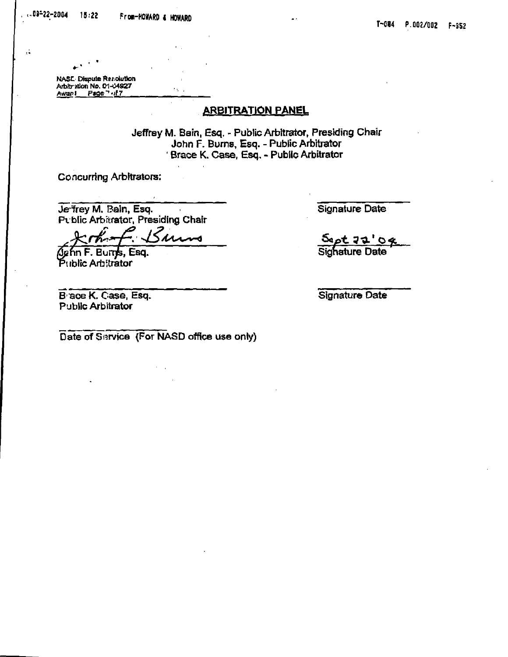NA\$t< Dispute ftar-olutkm Arbitration No. 01-04927 Awan! Page 7 ... 7

цÌ,

## ARBITRATION PANEL

Jeffrey M. Bain, Esq. - Public Arbitrator, Presiding Chair John F. Burns, Esq. - Public Arbitrator Brace K, Case, Esq. - Public Arbitrator

Concurring Arbitrators:

Je-frey M. Bain, Esq. Pvblic Arbitrator. Presiding Chair

<u> Sums</u>

^nnF. Burrjfe, Esq. Public Arbitrator

B ace K. Case. Esq. Public Arbitrator

Signature Date

50pt 72'04 Sighature Date

Signature Date

Date of Service (For NASD office use only)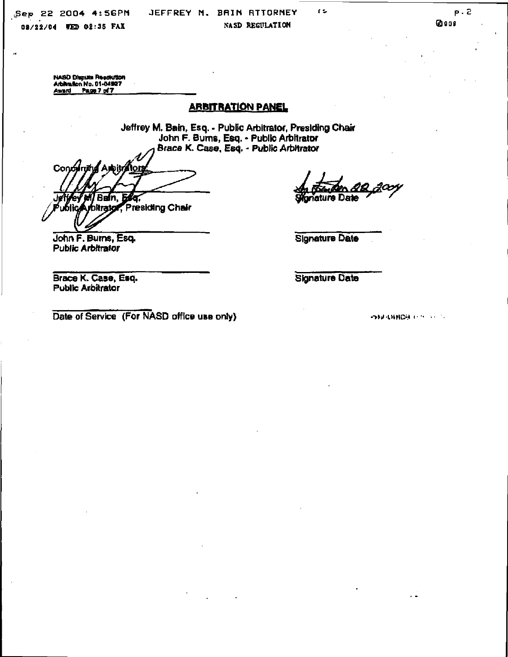"Sep 22 2004 4:56PM JEFFREY M. BAIN RTTORNEY

08/22/04 WED 02:35 FAX NASD REGULATION

(2)009

NASD Dispute Resolution Arbitration No. 01-04927 Award Page 7 of 7

# ARBITRATION PANEL

Jeffrey M. Bain, Esq. - Public Arbitrator, Presiding Chair John F. Bums, Esq. - Public Arbitrator Brace K. Case, Esq. - Public Arbitrator

AppityAlo Condy Ban. Jef bitratol f Presiding Chair

iature Date

Signature Date

 $\mathbf{r}$ 

Brace K. Case, Esq. Public Arbitrator

John F. Bums, Esq. Public Arbitrator

Signature Date

Date of Service (For NASD office use only)

**ISBURNICH IN AUTO**